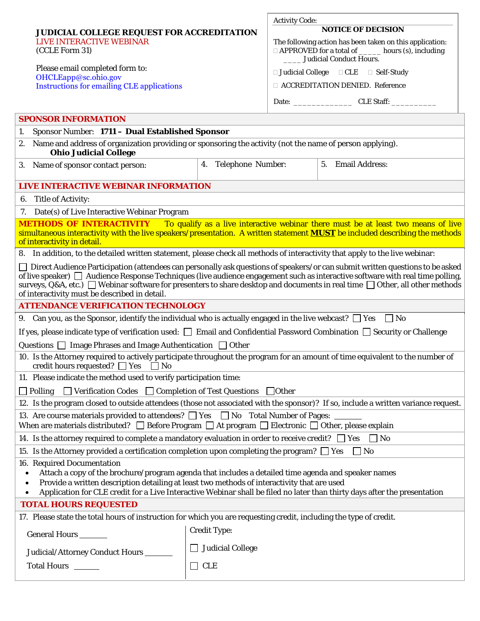|                                                                                                                                                                                                                                                                                                                                                                                                                                                     |                                           | <b>Activity Code:</b>                                                                                                                              |  |
|-----------------------------------------------------------------------------------------------------------------------------------------------------------------------------------------------------------------------------------------------------------------------------------------------------------------------------------------------------------------------------------------------------------------------------------------------------|-------------------------------------------|----------------------------------------------------------------------------------------------------------------------------------------------------|--|
| <b>JUDICIAL COLLEGE REQUEST FOR ACCREDITATION</b><br>LIVE INTERACTIVE WEBINAR<br>(CCLE Form 31)                                                                                                                                                                                                                                                                                                                                                     |                                           | <b>NOTICE OF DECISION</b>                                                                                                                          |  |
|                                                                                                                                                                                                                                                                                                                                                                                                                                                     |                                           | The following action has been taken on this application:<br>□ APPROVED for a total of ______ hours (s), including<br>_____ Judicial Conduct Hours. |  |
| Please email completed form to:                                                                                                                                                                                                                                                                                                                                                                                                                     |                                           | $\Box$ Judicial College $\Box$ CLE $\Box$ Self-Study                                                                                               |  |
| OHCLEapp@sc.ohio.gov<br><b>Instructions for emailing CLE applications</b>                                                                                                                                                                                                                                                                                                                                                                           |                                           | □ ACCREDITATION DENIED. Reference                                                                                                                  |  |
|                                                                                                                                                                                                                                                                                                                                                                                                                                                     |                                           |                                                                                                                                                    |  |
| <b>SPONSOR INFORMATION</b>                                                                                                                                                                                                                                                                                                                                                                                                                          |                                           |                                                                                                                                                    |  |
| Sponsor Number: 1711 - Dual Established Sponsor<br>1.                                                                                                                                                                                                                                                                                                                                                                                               |                                           |                                                                                                                                                    |  |
| 2. Name and address of organization providing or sponsoring the activity (not the name of person applying).                                                                                                                                                                                                                                                                                                                                         |                                           |                                                                                                                                                    |  |
| <b>Ohio Judicial College</b>                                                                                                                                                                                                                                                                                                                                                                                                                        |                                           |                                                                                                                                                    |  |
| 3. Name of sponsor contact person:                                                                                                                                                                                                                                                                                                                                                                                                                  | 4. Telephone Number:<br>5. Email Address: |                                                                                                                                                    |  |
| LIVE INTERACTIVE WEBINAR INFORMATION                                                                                                                                                                                                                                                                                                                                                                                                                |                                           |                                                                                                                                                    |  |
| 6. Title of Activity:                                                                                                                                                                                                                                                                                                                                                                                                                               |                                           |                                                                                                                                                    |  |
| 7. Date(s) of Live Interactive Webinar Program                                                                                                                                                                                                                                                                                                                                                                                                      |                                           |                                                                                                                                                    |  |
| <b>METHODS OF INTERACTIVITY</b><br>To qualify as a live interactive webinar there must be at least two means of live<br>simultaneous interactivity with the live speakers/presentation. A written statement <b>MUST</b> be included describing the methods<br>of interactivity in detail.                                                                                                                                                           |                                           |                                                                                                                                                    |  |
| 8. In addition, to the detailed written statement, please check all methods of interactivity that apply to the live webinar:                                                                                                                                                                                                                                                                                                                        |                                           |                                                                                                                                                    |  |
| □ Direct Audience Participation (attendees can personally ask questions of speakers/or can submit written questions to be asked<br>of live speaker) Audience Response Techniques (live audience engagement such as interactive software with real time polling,<br>surveys, Q&A, etc.) Webinar software for presenters to share desktop and documents in real time $\Box$ Other, all other methods<br>of interactivity must be described in detail. |                                           |                                                                                                                                                    |  |
| <b>ATTENDANCE VERIFICATION TECHNOLOGY</b>                                                                                                                                                                                                                                                                                                                                                                                                           |                                           |                                                                                                                                                    |  |
| 9. Can you, as the Sponsor, identify the individual who is actually engaged in the live webcast? $\Box$ Yes $\Box$ No                                                                                                                                                                                                                                                                                                                               |                                           |                                                                                                                                                    |  |
| If yes, please indicate type of verification used: $\square$ Email and Confidential Password Combination $\square$ Security or Challenge                                                                                                                                                                                                                                                                                                            |                                           |                                                                                                                                                    |  |
| Questions $\Box$ Image Phrases and Image Authentication $\Box$ Other                                                                                                                                                                                                                                                                                                                                                                                |                                           |                                                                                                                                                    |  |
| 10. Is the Attorney required to actively participate throughout the program for an amount of time equivalent to the number of<br>credit hours requested? $\Box$ Yes $\Box$ No                                                                                                                                                                                                                                                                       |                                           |                                                                                                                                                    |  |
| 11. Please indicate the method used to verify participation time:                                                                                                                                                                                                                                                                                                                                                                                   |                                           |                                                                                                                                                    |  |
| $\Box$ Polling $\Box$ Verification Codes $\Box$ Completion of Test Questions $\Box$ Other                                                                                                                                                                                                                                                                                                                                                           |                                           |                                                                                                                                                    |  |
| 12. Is the program closed to outside attendees (those not associated with the sponsor)? If so, include a written variance request.                                                                                                                                                                                                                                                                                                                  |                                           |                                                                                                                                                    |  |
| 13. Are course materials provided to attendees? $\Box$ Yes $\Box$ No Total Number of Pages:<br>When are materials distributed? $\Box$ Before Program $\Box$ At program $\Box$ Electronic $\Box$ Other, please explain                                                                                                                                                                                                                               |                                           |                                                                                                                                                    |  |
| 14. Is the attorney required to complete a mandatory evaluation in order to receive credit? $\Box$ Yes<br>$\Box$ No                                                                                                                                                                                                                                                                                                                                 |                                           |                                                                                                                                                    |  |
| 15. Is the Attorney provided a certification completion upon completing the program? $\square$ Yes<br>$\Box$ No                                                                                                                                                                                                                                                                                                                                     |                                           |                                                                                                                                                    |  |
| 16. Required Documentation<br>Attach a copy of the brochure/program agenda that includes a detailed time agenda and speaker names<br>Provide a written description detailing at least two methods of interactivity that are used<br>Application for CLE credit for a Live Interactive Webinar shall be filed no later than thirty days after the presentation<br>$\bullet$                                                                          |                                           |                                                                                                                                                    |  |
| <b>TOTAL HOURS REQUESTED</b>                                                                                                                                                                                                                                                                                                                                                                                                                        |                                           |                                                                                                                                                    |  |
| 17. Please state the total hours of instruction for which you are requesting credit, including the type of credit.                                                                                                                                                                                                                                                                                                                                  |                                           |                                                                                                                                                    |  |
| General Hours _______                                                                                                                                                                                                                                                                                                                                                                                                                               | <b>Credit Type:</b>                       |                                                                                                                                                    |  |
| Judicial/Attorney Conduct Hours ____                                                                                                                                                                                                                                                                                                                                                                                                                | <b>Judicial College</b>                   |                                                                                                                                                    |  |
| Total Hours ______                                                                                                                                                                                                                                                                                                                                                                                                                                  | $\Box$ CLE                                |                                                                                                                                                    |  |